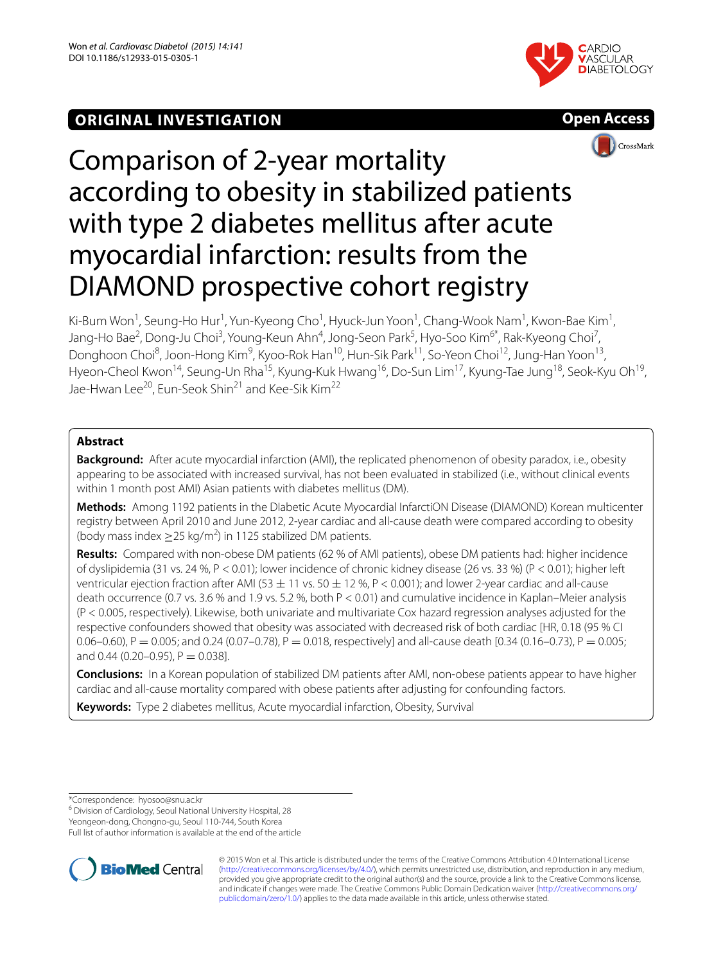## **ORIGINAL INVESTIGATION**







# Comparison of 2-year mortality according to obesity in stabilized patients with type 2 diabetes mellitus after acute myocardial infarction: results from the DIAMOND prospective cohort registry

Ki-Bum Won<sup>1</sup>, Seung-Ho Hur<sup>1</sup>, Yun-Kyeong Cho<sup>1</sup>, Hyuck-Jun Yoon<sup>1</sup>, Chang-Wook Nam<sup>1</sup>, Kwon-Bae Kim<sup>1</sup>, Jang-Ho Bae<sup>2</sup>, Dong-Ju Choi<sup>3</sup>, Young-Keun Ahn<sup>4</sup>, Jong-Seon Park<sup>5</sup>, Hyo-Soo Kim<sup>6\*</sup>, Rak-Kyeong Choi<sup>7</sup>, Donghoon Choi<sup>8</sup>, Joon-Hong Kim<sup>9</sup>, Kyoo-Rok Han<sup>10</sup>, Hun-Sik Park<sup>11</sup>, So-Yeon Choi<sup>12</sup>, Jung-Han Yoon<sup>13</sup>, Hyeon-Cheol Kwon<sup>14</sup>, Seung-Un Rha<sup>15</sup>, Kyung-Kuk Hwang<sup>16</sup>, Do-Sun Lim<sup>17</sup>, Kyung-Tae Jung<sup>18</sup>, Seok-Kyu Oh<sup>19</sup>, Jae-Hwan Lee<sup>20</sup>, Eun-Seok Shin<sup>21</sup> and Kee-Sik Kim<sup>22</sup>

### **Abstract**

**Background:** After acute myocardial infarction (AMI), the replicated phenomenon of obesity paradox, i.e., obesity appearing to be associated with increased survival, has not been evaluated in stabilized (i.e., without clinical events within 1 month post AMI) Asian patients with diabetes mellitus (DM).

**Methods:** Among 1192 patients in the DIabetic Acute Myocardial InfarctiON Disease (DIAMOND) Korean multicenter registry between April 2010 and June 2012, 2-year cardiac and all-cause death were compared according to obesity (body mass index  $\geq$  25 kg/m<sup>2</sup>) in 1125 stabilized DM patients.

**Results:** Compared with non-obese DM patients (62 % of AMI patients), obese DM patients had: higher incidence of dyslipidemia (31 vs. 24 %, P < 0.01); lower incidence of chronic kidney disease (26 vs. 33 %) (P < 0.01); higher left ventricular ejection fraction after AMI (53  $\pm$  11 vs. 50  $\pm$  12 %, P < 0.001); and lower 2-year cardiac and all-cause death occurrence (0.7 vs. 3.6 % and 1.9 vs. 5.2 %, both P < 0.01) and cumulative incidence in Kaplan–Meier analysis (P < 0.005, respectively). Likewise, both univariate and multivariate Cox hazard regression analyses adjusted for the respective confounders showed that obesity was associated with decreased risk of both cardiac [HR, 0.18 (95 % CI 0.06–0.60), P = 0.005; and 0.24 (0.07–0.78), P = 0.018, respectively] and all-cause death [0.34 (0.16–0.73), P = 0.005; and 0.44 (0.20–0.95),  $P = 0.038$ ].

**Conclusions:** In a Korean population of stabilized DM patients after AMI, non-obese patients appear to have higher cardiac and all-cause mortality compared with obese patients after adjusting for confounding factors.

**Keywords:** Type 2 diabetes mellitus, Acute myocardial infarction, Obesity, Survival

\*Correspondence: hyosoo@snu.ac.kr

<sup>6</sup> Division of Cardiology, Seoul National University Hospital, 28

Yeongeon‑dong, Chongno‑gu, Seoul 110‑744, South Korea

Full list of author information is available at the end of the article



© 2015 Won et al. This article is distributed under the terms of the Creative Commons Attribution 4.0 International License [\(http://creativecommons.org/licenses/by/4.0/\)](http://creativecommons.org/licenses/by/4.0/), which permits unrestricted use, distribution, and reproduction in any medium, provided you give appropriate credit to the original author(s) and the source, provide a link to the Creative Commons license, and indicate if changes were made. The Creative Commons Public Domain Dedication waiver ([http://creativecommons.org/](http://creativecommons.org/publicdomain/zero/1.0/) [publicdomain/zero/1.0/](http://creativecommons.org/publicdomain/zero/1.0/)) applies to the data made available in this article, unless otherwise stated.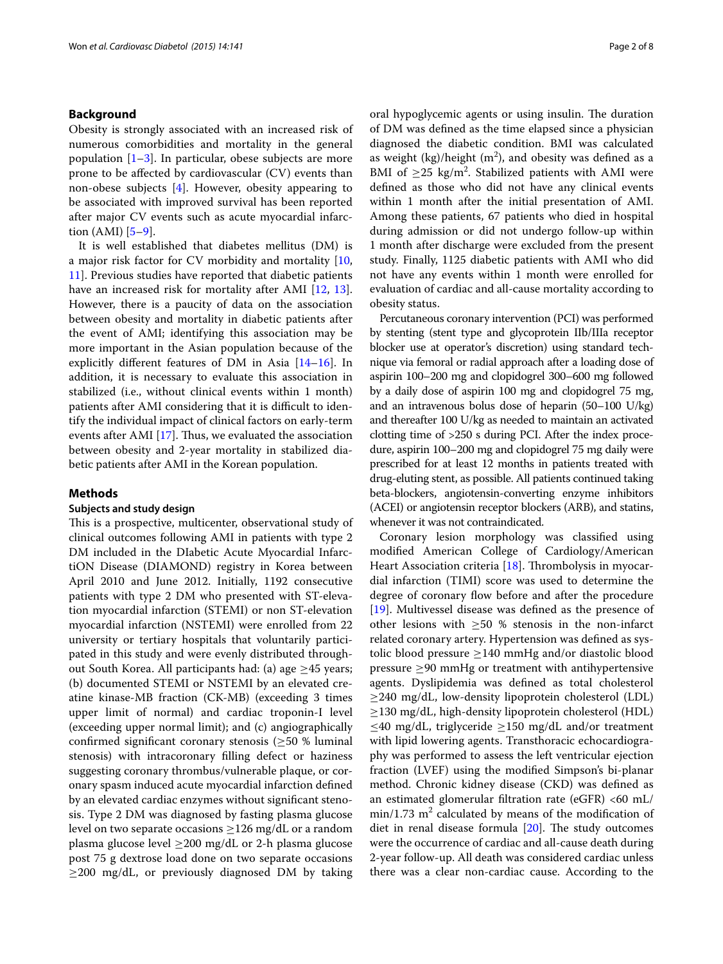#### **Background**

Obesity is strongly associated with an increased risk of numerous comorbidities and mortality in the general population  $[1-3]$  $[1-3]$ . In particular, obese subjects are more prone to be affected by cardiovascular (CV) events than non-obese subjects [\[4](#page-6-2)]. However, obesity appearing to be associated with improved survival has been reported after major CV events such as acute myocardial infarction (AMI) [\[5–](#page-6-3)[9\]](#page-6-4).

It is well established that diabetes mellitus (DM) is a major risk factor for CV morbidity and mortality [\[10](#page-6-5), [11\]](#page-6-6). Previous studies have reported that diabetic patients have an increased risk for mortality after AMI [[12](#page-6-7), [13](#page-6-8)]. However, there is a paucity of data on the association between obesity and mortality in diabetic patients after the event of AMI; identifying this association may be more important in the Asian population because of the explicitly different features of DM in Asia [\[14](#page-6-9)[–16\]](#page-6-10). In addition, it is necessary to evaluate this association in stabilized (i.e., without clinical events within 1 month) patients after AMI considering that it is difficult to identify the individual impact of clinical factors on early-term events after AMI [[17\]](#page-6-11). Thus, we evaluated the association between obesity and 2-year mortality in stabilized diabetic patients after AMI in the Korean population.

#### **Methods**

#### **Subjects and study design**

This is a prospective, multicenter, observational study of clinical outcomes following AMI in patients with type 2 DM included in the DIabetic Acute Myocardial InfarctiON Disease (DIAMOND) registry in Korea between April 2010 and June 2012. Initially, 1192 consecutive patients with type 2 DM who presented with ST-elevation myocardial infarction (STEMI) or non ST-elevation myocardial infarction (NSTEMI) were enrolled from 22 university or tertiary hospitals that voluntarily participated in this study and were evenly distributed throughout South Korea. All participants had: (a) age ≥45 years; (b) documented STEMI or NSTEMI by an elevated creatine kinase-MB fraction (CK-MB) (exceeding 3 times upper limit of normal) and cardiac troponin-I level (exceeding upper normal limit); and (c) angiographically confirmed significant coronary stenosis  $(\geq 50 \%)$  luminal stenosis) with intracoronary filling defect or haziness suggesting coronary thrombus/vulnerable plaque, or coronary spasm induced acute myocardial infarction defined by an elevated cardiac enzymes without significant stenosis. Type 2 DM was diagnosed by fasting plasma glucose level on two separate occasions  $\geq$ 126 mg/dL or a random plasma glucose level  $\geq$ 200 mg/dL or 2-h plasma glucose post 75 g dextrose load done on two separate occasions  $\geq$ 200 mg/dL, or previously diagnosed DM by taking oral hypoglycemic agents or using insulin. The duration of DM was defined as the time elapsed since a physician diagnosed the diabetic condition. BMI was calculated as weight  $(kg)/height (m<sup>2</sup>)$ , and obesity was defined as a BMI of  $\geq$ 25 kg/m<sup>2</sup>. Stabilized patients with AMI were defined as those who did not have any clinical events within 1 month after the initial presentation of AMI. Among these patients, 67 patients who died in hospital during admission or did not undergo follow-up within 1 month after discharge were excluded from the present study. Finally, 1125 diabetic patients with AMI who did not have any events within 1 month were enrolled for evaluation of cardiac and all-cause mortality according to obesity status.

Percutaneous coronary intervention (PCI) was performed by stenting (stent type and glycoprotein IIb/IIIa receptor blocker use at operator's discretion) using standard technique via femoral or radial approach after a loading dose of aspirin 100–200 mg and clopidogrel 300–600 mg followed by a daily dose of aspirin 100 mg and clopidogrel 75 mg, and an intravenous bolus dose of heparin (50–100 U/kg) and thereafter 100 U/kg as needed to maintain an activated clotting time of >250 s during PCI. After the index procedure, aspirin 100–200 mg and clopidogrel 75 mg daily were prescribed for at least 12 months in patients treated with drug-eluting stent, as possible. All patients continued taking beta-blockers, angiotensin-converting enzyme inhibitors (ACEI) or angiotensin receptor blockers (ARB), and statins, whenever it was not contraindicated.

Coronary lesion morphology was classified using modified American College of Cardiology/American Heart Association criteria [\[18](#page-6-12)]. Thrombolysis in myocardial infarction (TIMI) score was used to determine the degree of coronary flow before and after the procedure [[19\]](#page-6-13). Multivessel disease was defined as the presence of other lesions with  $\geq 50$  % stenosis in the non-infarct related coronary artery. Hypertension was defined as systolic blood pressure ≥140 mmHg and/or diastolic blood pressure ≥90 mmHg or treatment with antihypertensive agents. Dyslipidemia was defined as total cholesterol ≥240 mg/dL, low-density lipoprotein cholesterol (LDL)  $\geq$ 130 mg/dL, high-density lipoprotein cholesterol (HDL) ≤40 mg/dL, triglyceride ≥150 mg/dL and/or treatment with lipid lowering agents. Transthoracic echocardiography was performed to assess the left ventricular ejection fraction (LVEF) using the modified Simpson's bi-planar method. Chronic kidney disease (CKD) was defined as an estimated glomerular filtration rate (eGFR)  $<$  60 mL/  $min/1.73$   $m<sup>2</sup>$  calculated by means of the modification of diet in renal disease formula [\[20\]](#page-6-14). The study outcomes were the occurrence of cardiac and all-cause death during 2-year follow-up. All death was considered cardiac unless there was a clear non-cardiac cause. According to the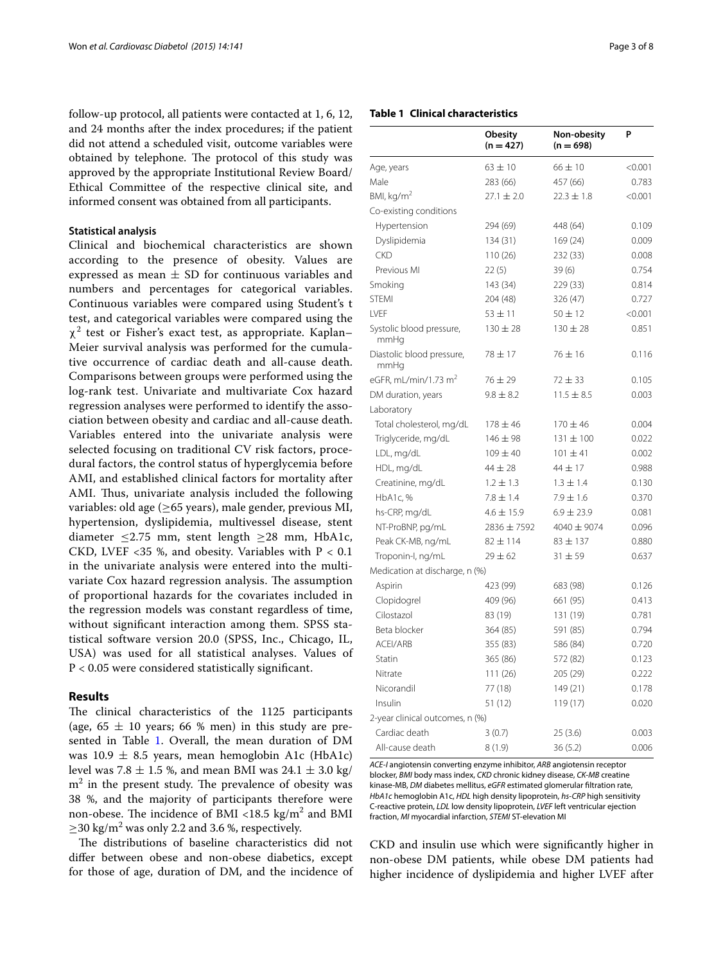follow-up protocol, all patients were contacted at 1, 6, 12, and 24 months after the index procedures; if the patient did not attend a scheduled visit, outcome variables were obtained by telephone. The protocol of this study was approved by the appropriate Institutional Review Board/ Ethical Committee of the respective clinical site, and informed consent was obtained from all participants.

#### **Statistical analysis**

Clinical and biochemical characteristics are shown according to the presence of obesity. Values are expressed as mean  $\pm$  SD for continuous variables and numbers and percentages for categorical variables. Continuous variables were compared using Student's t test, and categorical variables were compared using the  $\chi^2$  test or Fisher's exact test, as appropriate. Kaplan– Meier survival analysis was performed for the cumulative occurrence of cardiac death and all-cause death. Comparisons between groups were performed using the log-rank test. Univariate and multivariate Cox hazard regression analyses were performed to identify the association between obesity and cardiac and all-cause death. Variables entered into the univariate analysis were selected focusing on traditional CV risk factors, procedural factors, the control status of hyperglycemia before AMI, and established clinical factors for mortality after AMI. Thus, univariate analysis included the following variables: old age ( $\geq$ 65 years), male gender, previous MI, hypertension, dyslipidemia, multivessel disease, stent diameter  $\leq$ 2.75 mm, stent length  $\geq$ 28 mm, HbA1c, CKD, LVEF <35 %, and obesity. Variables with  $P < 0.1$ in the univariate analysis were entered into the multivariate Cox hazard regression analysis. The assumption of proportional hazards for the covariates included in the regression models was constant regardless of time, without significant interaction among them. SPSS statistical software version 20.0 (SPSS, Inc., Chicago, IL, USA) was used for all statistical analyses. Values of P < 0.05 were considered statistically significant.

#### **Results**

The clinical characteristics of the 1125 participants (age,  $65 \pm 10$  years; 66 % men) in this study are pre-sented in Table [1.](#page-2-0) Overall, the mean duration of DM was  $10.9 \pm 8.5$  years, mean hemoglobin A1c (HbA1c) level was 7.8  $\pm$  1.5 %, and mean BMI was 24.1  $\pm$  3.0 kg/  $m<sup>2</sup>$  in the present study. The prevalence of obesity was 38 %, and the majority of participants therefore were non-obese. The incidence of BMI <18.5 kg/m<sup>2</sup> and BMI  $\geq$ 30 kg/m<sup>2</sup> was only 2.2 and 3.6 %, respectively.

The distributions of baseline characteristics did not differ between obese and non-obese diabetics, except for those of age, duration of DM, and the incidence of

#### <span id="page-2-0"></span>**Table 1 Clinical characteristics**

|                                   | Obesity<br>$(n = 427)$ | Non-obesity<br>$(n = 698)$ | P       |
|-----------------------------------|------------------------|----------------------------|---------|
| Age, years                        | $63 \pm 10$            | $66 \pm 10$                | < 0.001 |
| Male                              | 283 (66)               | 457 (66)                   | 0.783   |
| BMI, kg/m <sup>2</sup>            | $27.1 \pm 2.0$         | $22.3 \pm 1.8$             | < 0.001 |
| Co-existing conditions            |                        |                            |         |
| Hypertension                      | 294 (69)               | 448 (64)                   | 0.109   |
| Dyslipidemia                      | 134 (31)               | 169 (24)                   | 0.009   |
| <b>CKD</b>                        | 110(26)                | 232 (33)                   | 0.008   |
| Previous MI                       | 22(5)                  | 39(6)                      | 0.754   |
| Smoking                           | 143 (34)               | 229 (33)                   | 0.814   |
| <b>STEMI</b>                      | 204 (48)               | 326 (47)                   | 0.727   |
| LVEF                              | $53 \pm 11$            | $50 \pm 12$                | < 0.001 |
| Systolic blood pressure,<br>mmHg  | $130 \pm 28$           | $130 \pm 28$               | 0.851   |
| Diastolic blood pressure,<br>mmHg | $78 + 17$              | $76 \pm 16$                | 0.116   |
| eGFR, mL/min/1.73 $m2$            | $76 \pm 29$            | $72 + 33$                  | 0.105   |
| DM duration, years                | $9.8 \pm 8.2$          | $11.5 \pm 8.5$             | 0.003   |
| Laboratory                        |                        |                            |         |
| Total cholesterol, mg/dL          | $178 + 46$             | $170 + 46$                 | 0.004   |
| Triglyceride, mg/dL               | $146 \pm 98$           | $131 \pm 100$              | 0.022   |
| LDL, mg/dL                        | $109 \pm 40$           | $101 \pm 41$               | 0.002   |
| HDL, mg/dL                        | $44 \pm 28$            | 44 ± 17                    | 0.988   |
| Creatinine, mg/dL                 | $1.2 \pm 1.3$          | $1.3 \pm 1.4$              | 0.130   |
| HbA1c, %                          | $7.8 \pm 1.4$          | $7.9 \pm 1.6$              | 0.370   |
| hs-CRP, mg/dL                     | $4.6 \pm 15.9$         | $6.9 \pm 23.9$             | 0.081   |
| NT-ProBNP, pg/mL                  | 2836 ± 7592            | 4040 ± 9074                | 0.096   |
| Peak CK-MB, ng/mL                 | $82 \pm 114$           | $83 \pm 137$               | 0.880   |
| Troponin-I, ng/mL                 | $29 \pm 62$            | $31 + 59$                  | 0.637   |
| Medication at discharge, n (%)    |                        |                            |         |
| Aspirin                           | 423 (99)               | 683 (98)                   | 0.126   |
| Clopidogrel                       | 409 (96)               | 661 (95)                   | 0.413   |
| Cilostazol                        | 83 (19)                | 131 (19)                   | 0.781   |
| Beta blocker                      | 364 (85)               | 591 (85)                   | 0.794   |
| <b>ACEI/ARB</b>                   | 355 (83)               | 586 (84)                   | 0.720   |
| Statin                            | 365 (86)               | 572 (82)                   | 0.123   |
| Nitrate                           | 111(26)                | 205 (29)                   | 0.222   |
| Nicorandil                        | 77 (18)                | 149 (21)                   | 0.178   |
| Insulin                           | 51 (12)                | 119(17)                    | 0.020   |
| 2-year clinical outcomes, n (%)   |                        |                            |         |
| Cardiac death                     | 3(0.7)                 | 25 (3.6)                   | 0.003   |
| All-cause death                   | 8(1.9)                 | 36(5.2)                    | 0.006   |

*ACE-I* angiotensin converting enzyme inhibitor, *ARB* angiotensin receptor blocker, *BMI* body mass index, *CKD* chronic kidney disease, *CK-MB* creatine kinase-MB, *DM* diabetes mellitus, *eGFR* estimated glomerular filtration rate, *HbA1c* hemoglobin A1c, *HDL* high density lipoprotein, *hs-CRP* high sensitivity C-reactive protein, *LDL* low density lipoprotein, *LVEF* left ventricular ejection fraction, *MI* myocardial infarction, *STEMI* ST-elevation MI

CKD and insulin use which were significantly higher in non-obese DM patients, while obese DM patients had higher incidence of dyslipidemia and higher LVEF after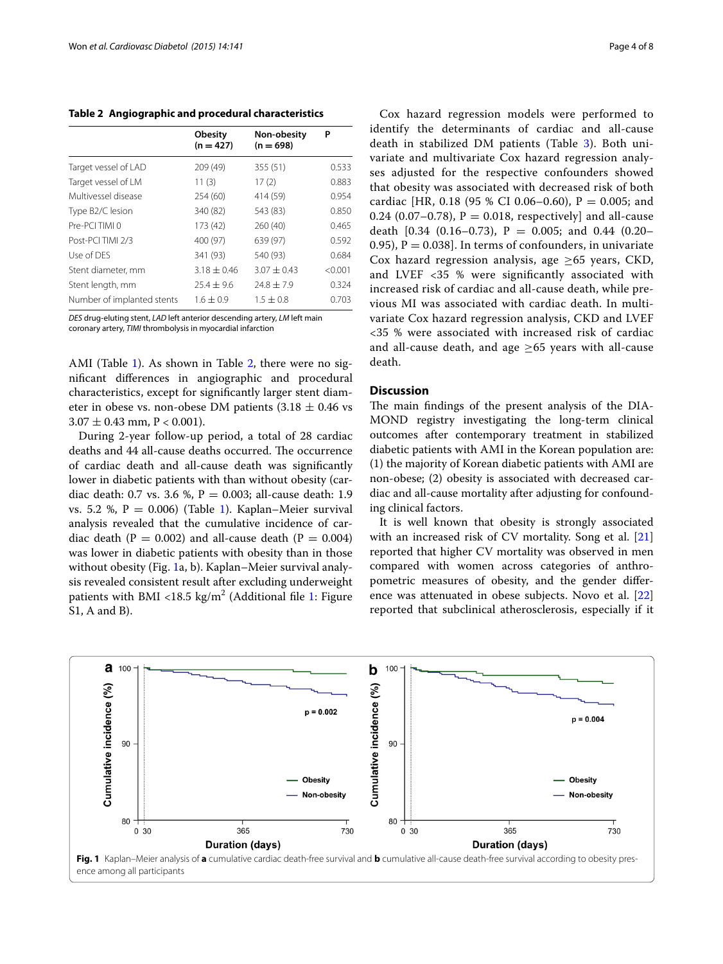<span id="page-3-0"></span>**Table 2 Angiographic and procedural characteristics**

|                            | Obesity<br>$(n = 427)$ | Non-obesity<br>$(n = 698)$ | Р       |
|----------------------------|------------------------|----------------------------|---------|
| Target vessel of LAD       | 209 (49)               | 355 (51)                   | 0.533   |
| Target vessel of LM        | 11(3)                  | 17(2)                      | 0.883   |
| Multivessel disease        | 254 (60)               | 414 (59)                   | 0.954   |
| Type B2/C lesion           | 340 (82)               | 543 (83)                   | 0.850   |
| Pre-PCI TIMI 0             | 173 (42)               | 260 (40)                   | 0.465   |
| Post-PCI TIMI 2/3          | 400 (97)               | 639 (97)                   | 0.592   |
| Use of DES                 | 341 (93)               | 540 (93)                   | 0.684   |
| Stent diameter, mm         | $3.18 + 0.46$          | $3.07 + 0.43$              | < 0.001 |
| Stent length, mm           | $75.4 + 9.6$           | $24.8 \pm 7.9$             | 0.324   |
| Number of implanted stents | $1.6 \pm 0.9$          | $1.5 + 0.8$                | 0.703   |

*DES* drug-eluting stent, *LAD* left anterior descending artery, *LM* left main

coronary artery, *TIMI* thrombolysis in myocardial infarction

AMI (Table [1\)](#page-2-0). As shown in Table [2,](#page-3-0) there were no significant differences in angiographic and procedural characteristics, except for significantly larger stent diameter in obese vs. non-obese DM patients  $(3.18 \pm 0.46 \text{ vs }$  $3.07 \pm 0.43$  mm, P < 0.001).

During 2-year follow-up period, a total of 28 cardiac deaths and 44 all-cause deaths occurred. The occurrence of cardiac death and all-cause death was significantly lower in diabetic patients with than without obesity (cardiac death: 0.7 vs. 3.6 %,  $P = 0.003$ ; all-cause death: 1.9 vs. 5.2 %,  $P = 0.006$ ) (Table [1\)](#page-2-0). Kaplan–Meier survival analysis revealed that the cumulative incidence of cardiac death ( $P = 0.002$ ) and all-cause death ( $P = 0.004$ ) was lower in diabetic patients with obesity than in those without obesity (Fig. [1a](#page-3-1), b). Kaplan–Meier survival analysis revealed consistent result after excluding underweight patients with BMI <[1](#page-5-0)8.5 kg/m<sup>2</sup> (Additional file 1: Figure S1, A and B).

Cox hazard regression models were performed to identify the determinants of cardiac and all-cause death in stabilized DM patients (Table [3\)](#page-4-0). Both univariate and multivariate Cox hazard regression analyses adjusted for the respective confounders showed that obesity was associated with decreased risk of both cardiac [HR, 0.18 (95 % CI 0.06–0.60),  $P = 0.005$ ; and 0.24 (0.07–0.78),  $P = 0.018$ , respectively] and all-cause death  $[0.34 (0.16-0.73), P = 0.005;$  and 0.44  $(0.20-$ 0.95),  $P = 0.038$ . In terms of confounders, in univariate Cox hazard regression analysis, age  $\geq 65$  years, CKD, and LVEF <35 % were significantly associated with increased risk of cardiac and all-cause death, while previous MI was associated with cardiac death. In multivariate Cox hazard regression analysis, CKD and LVEF <35 % were associated with increased risk of cardiac and all-cause death, and age  $\geq 65$  years with all-cause death.

#### **Discussion**

The main findings of the present analysis of the DIA-MOND registry investigating the long-term clinical outcomes after contemporary treatment in stabilized diabetic patients with AMI in the Korean population are: (1) the majority of Korean diabetic patients with AMI are non-obese; (2) obesity is associated with decreased cardiac and all-cause mortality after adjusting for confounding clinical factors.

It is well known that obesity is strongly associated with an increased risk of CV mortality. Song et al. [[21](#page-6-15)] reported that higher CV mortality was observed in men compared with women across categories of anthropometric measures of obesity, and the gender difference was attenuated in obese subjects. Novo et al. [[22](#page-7-0)] reported that subclinical atherosclerosis, especially if it

<span id="page-3-1"></span>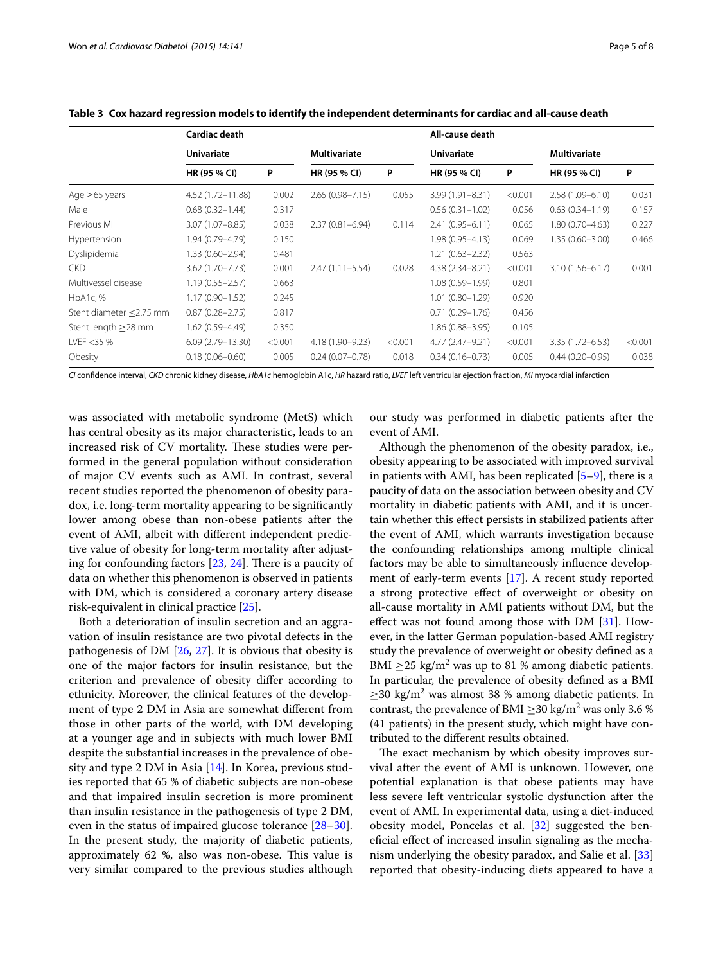|                               | Cardiac death        |         |                     | All-cause death |                     |         |                     |         |
|-------------------------------|----------------------|---------|---------------------|-----------------|---------------------|---------|---------------------|---------|
|                               | <b>Univariate</b>    |         | <b>Multivariate</b> |                 | <b>Univariate</b>   |         | <b>Multivariate</b> |         |
|                               | HR (95 % CI)         | P       | HR (95 % CI)        | P               | HR (95 % CI)        | P       | HR (95 % CI)        | P       |
| Age $\geq 65$ years           | 4.52 (1.72-11.88)    | 0.002   | $2.65(0.98 - 7.15)$ | 0.055           | $3.99(1.91 - 8.31)$ | < 0.001 | $2.58(1.09 - 6.10)$ | 0.031   |
| Male                          | $0.68(0.32 - 1.44)$  | 0.317   |                     |                 | $0.56(0.31 - 1.02)$ | 0.056   | $0.63(0.34 - 1.19)$ | 0.157   |
| Previous MI                   | $3.07(1.07 - 8.85)$  | 0.038   | $2.37(0.81 - 6.94)$ | 0.114           | $2.41(0.95 - 6.11)$ | 0.065   | $1.80(0.70 - 4.63)$ | 0.227   |
| Hypertension                  | 1.94 (0.79-4.79)     | 0.150   |                     |                 | 1.98 (0.95-4.13)    | 0.069   | $1.35(0.60 - 3.00)$ | 0.466   |
| Dyslipidemia                  | $1.33(0.60 - 2.94)$  | 0.481   |                     |                 | $1.21(0.63 - 2.32)$ | 0.563   |                     |         |
| <b>CKD</b>                    | $3.62(1.70 - 7.73)$  | 0.001   | $2.47(1.11 - 5.54)$ | 0.028           | $4.38(2.34 - 8.21)$ | < 0.001 | $3.10(1.56 - 6.17)$ | 0.001   |
| Multivessel disease           | $1.19(0.55 - 2.57)$  | 0.663   |                     |                 | $1.08(0.59 - 1.99)$ | 0.801   |                     |         |
| HbA1c, %                      | $1.17(0.90 - 1.52)$  | 0.245   |                     |                 | $1.01(0.80 - 1.29)$ | 0.920   |                     |         |
| Stent diameter $\leq$ 2.75 mm | $0.87(0.28 - 2.75)$  | 0.817   |                     |                 | $0.71(0.29 - 1.76)$ | 0.456   |                     |         |
| Stent length $\geq$ 28 mm     | $1.62(0.59 - 4.49)$  | 0.350   |                     |                 | $1.86(0.88 - 3.95)$ | 0.105   |                     |         |
| LVEF $<$ 35 %                 | $6.09(2.79 - 13.30)$ | < 0.001 | 4.18 (1.90-9.23)    | < 0.001         | 4.77 (2.47-9.21)    | < 0.001 | $3.35(1.72 - 6.53)$ | < 0.001 |
| Obesity                       | $0.18(0.06 - 0.60)$  | 0.005   | $0.24(0.07 - 0.78)$ | 0.018           | $0.34(0.16 - 0.73)$ | 0.005   | $0.44(0.20 - 0.95)$ | 0.038   |

<span id="page-4-0"></span>**Table 3 Cox hazard regression models to identify the independent determinants for cardiac and all-cause death**

*CI* confidence interval, *CKD* chronic kidney disease, *HbA1c* hemoglobin A1c, *HR* hazard ratio, *LVEF* left ventricular ejection fraction, *MI* myocardial infarction

was associated with metabolic syndrome (MetS) which has central obesity as its major characteristic, leads to an increased risk of CV mortality. These studies were performed in the general population without consideration of major CV events such as AMI. In contrast, several recent studies reported the phenomenon of obesity paradox, i.e. long-term mortality appearing to be significantly lower among obese than non-obese patients after the event of AMI, albeit with different independent predictive value of obesity for long-term mortality after adjusting for confounding factors [[23,](#page-7-1) [24](#page-7-2)]. There is a paucity of data on whether this phenomenon is observed in patients with DM, which is considered a coronary artery disease risk-equivalent in clinical practice [\[25\]](#page-7-3).

Both a deterioration of insulin secretion and an aggravation of insulin resistance are two pivotal defects in the pathogenesis of DM [\[26,](#page-7-4) [27\]](#page-7-5). It is obvious that obesity is one of the major factors for insulin resistance, but the criterion and prevalence of obesity differ according to ethnicity. Moreover, the clinical features of the development of type 2 DM in Asia are somewhat different from those in other parts of the world, with DM developing at a younger age and in subjects with much lower BMI despite the substantial increases in the prevalence of obesity and type 2 DM in Asia [[14\]](#page-6-9). In Korea, previous studies reported that 65 % of diabetic subjects are non-obese and that impaired insulin secretion is more prominent than insulin resistance in the pathogenesis of type 2 DM, even in the status of impaired glucose tolerance [[28](#page-7-6)[–30](#page-7-7)]. In the present study, the majority of diabetic patients, approximately 62 %, also was non-obese. This value is very similar compared to the previous studies although

our study was performed in diabetic patients after the event of AMI.

Although the phenomenon of the obesity paradox, i.e., obesity appearing to be associated with improved survival in patients with AMI, has been replicated  $[5-9]$  $[5-9]$ , there is a paucity of data on the association between obesity and CV mortality in diabetic patients with AMI, and it is uncertain whether this effect persists in stabilized patients after the event of AMI, which warrants investigation because the confounding relationships among multiple clinical factors may be able to simultaneously influence development of early-term events [[17\]](#page-6-11). A recent study reported a strong protective effect of overweight or obesity on all-cause mortality in AMI patients without DM, but the effect was not found among those with DM [[31](#page-7-8)]. However, in the latter German population-based AMI registry study the prevalence of overweight or obesity defined as a BMI  $\geq$ 25 kg/m<sup>2</sup> was up to 81 % among diabetic patients. In particular, the prevalence of obesity defined as a BMI  $\geq$ 30 kg/m<sup>2</sup> was almost 38 % among diabetic patients. In contrast, the prevalence of BMI  $\geq$ 30 kg/m<sup>2</sup> was only 3.6 % (41 patients) in the present study, which might have contributed to the different results obtained.

The exact mechanism by which obesity improves survival after the event of AMI is unknown. However, one potential explanation is that obese patients may have less severe left ventricular systolic dysfunction after the event of AMI. In experimental data, using a diet-induced obesity model, Poncelas et al. [\[32](#page-7-9)] suggested the beneficial effect of increased insulin signaling as the mechanism underlying the obesity paradox, and Salie et al. [[33](#page-7-10)] reported that obesity-inducing diets appeared to have a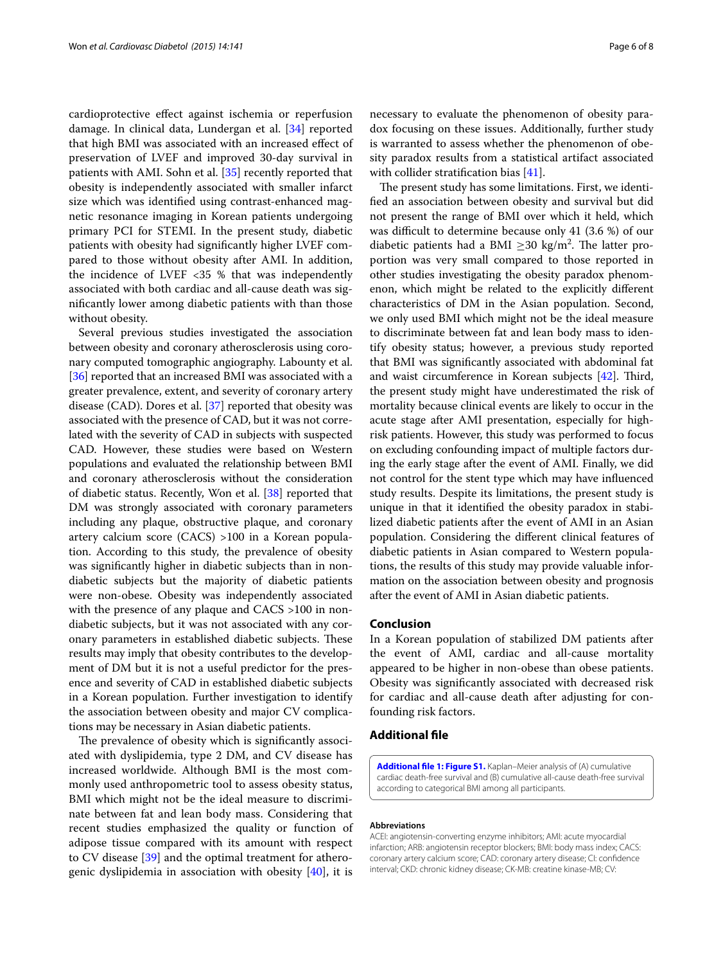cardioprotective effect against ischemia or reperfusion damage. In clinical data, Lundergan et al. [\[34](#page-7-11)] reported that high BMI was associated with an increased effect of preservation of LVEF and improved 30-day survival in patients with AMI. Sohn et al. [[35](#page-7-12)] recently reported that obesity is independently associated with smaller infarct size which was identified using contrast-enhanced magnetic resonance imaging in Korean patients undergoing primary PCI for STEMI. In the present study, diabetic patients with obesity had significantly higher LVEF compared to those without obesity after AMI. In addition, the incidence of LVEF  $<35$  % that was independently associated with both cardiac and all-cause death was significantly lower among diabetic patients with than those without obesity.

Several previous studies investigated the association between obesity and coronary atherosclerosis using coronary computed tomographic angiography. Labounty et al. [[36\]](#page-7-13) reported that an increased BMI was associated with a greater prevalence, extent, and severity of coronary artery disease (CAD). Dores et al. [\[37\]](#page-7-14) reported that obesity was associated with the presence of CAD, but it was not correlated with the severity of CAD in subjects with suspected CAD. However, these studies were based on Western populations and evaluated the relationship between BMI and coronary atherosclerosis without the consideration of diabetic status. Recently, Won et al. [\[38\]](#page-7-15) reported that DM was strongly associated with coronary parameters including any plaque, obstructive plaque, and coronary artery calcium score (CACS) >100 in a Korean population. According to this study, the prevalence of obesity was significantly higher in diabetic subjects than in nondiabetic subjects but the majority of diabetic patients were non-obese. Obesity was independently associated with the presence of any plaque and CACS >100 in nondiabetic subjects, but it was not associated with any coronary parameters in established diabetic subjects. These results may imply that obesity contributes to the development of DM but it is not a useful predictor for the presence and severity of CAD in established diabetic subjects in a Korean population. Further investigation to identify the association between obesity and major CV complications may be necessary in Asian diabetic patients.

The prevalence of obesity which is significantly associated with dyslipidemia, type 2 DM, and CV disease has increased worldwide. Although BMI is the most commonly used anthropometric tool to assess obesity status, BMI which might not be the ideal measure to discriminate between fat and lean body mass. Considering that recent studies emphasized the quality or function of adipose tissue compared with its amount with respect to CV disease [\[39](#page-7-16)] and the optimal treatment for atherogenic dyslipidemia in association with obesity [[40\]](#page-7-17), it is

necessary to evaluate the phenomenon of obesity paradox focusing on these issues. Additionally, further study is warranted to assess whether the phenomenon of obesity paradox results from a statistical artifact associated with collider stratification bias [\[41](#page-7-18)].

The present study has some limitations. First, we identified an association between obesity and survival but did not present the range of BMI over which it held, which was difficult to determine because only 41 (3.6 %) of our diabetic patients had a BMI  $\geq$ 30 kg/m<sup>2</sup>. The latter proportion was very small compared to those reported in other studies investigating the obesity paradox phenomenon, which might be related to the explicitly different characteristics of DM in the Asian population. Second, we only used BMI which might not be the ideal measure to discriminate between fat and lean body mass to identify obesity status; however, a previous study reported that BMI was significantly associated with abdominal fat and waist circumference in Korean subjects [\[42\]](#page-7-19). Third, the present study might have underestimated the risk of mortality because clinical events are likely to occur in the acute stage after AMI presentation, especially for highrisk patients. However, this study was performed to focus on excluding confounding impact of multiple factors during the early stage after the event of AMI. Finally, we did not control for the stent type which may have influenced study results. Despite its limitations, the present study is unique in that it identified the obesity paradox in stabilized diabetic patients after the event of AMI in an Asian population. Considering the different clinical features of diabetic patients in Asian compared to Western populations, the results of this study may provide valuable information on the association between obesity and prognosis after the event of AMI in Asian diabetic patients.

#### **Conclusion**

In a Korean population of stabilized DM patients after the event of AMI, cardiac and all-cause mortality appeared to be higher in non-obese than obese patients. Obesity was significantly associated with decreased risk for cardiac and all-cause death after adjusting for confounding risk factors.

#### **Additional file**

<span id="page-5-0"></span>**[Additional file 1: Figure S1.](http://dx.doi.org/10.1186/s12933-015-0305-1)** Kaplan–Meier analysis of (A) cumulative cardiac death-free survival and (B) cumulative all-cause death-free survival according to categorical BMI among all participants.

#### **Abbreviations**

ACEI: angiotensin-converting enzyme inhibitors; AMI: acute myocardial infarction; ARB: angiotensin receptor blockers; BMI: body mass index; CACS: coronary artery calcium score; CAD: coronary artery disease; CI: confidence interval; CKD: chronic kidney disease; CK-MB: creatine kinase-MB; CV: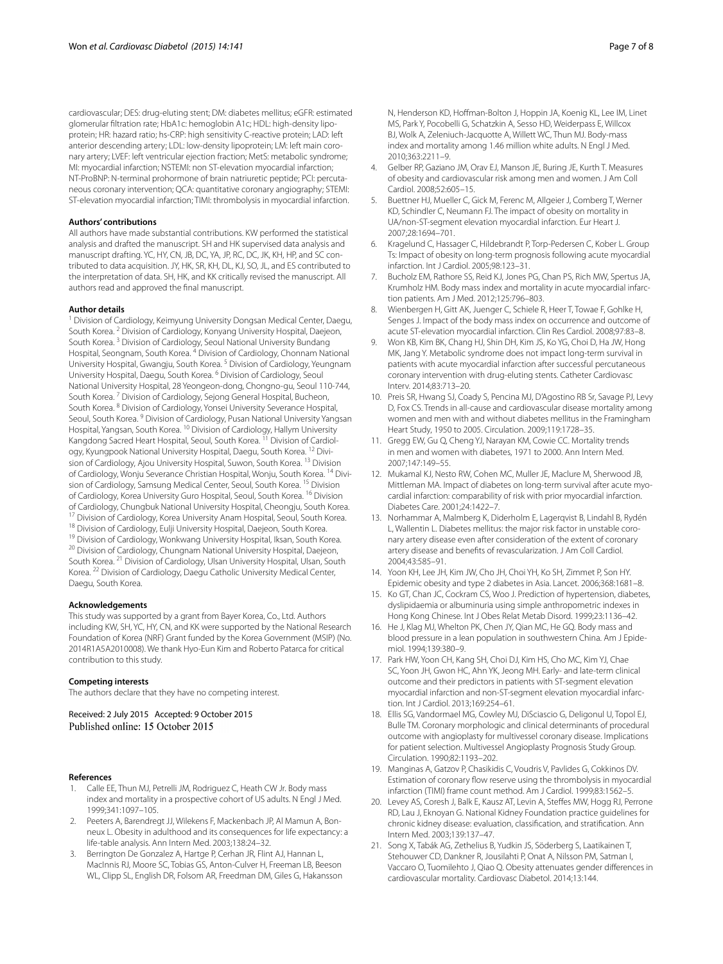cardiovascular; DES: drug-eluting stent; DM: diabetes mellitus; eGFR: estimated glomerular filtration rate; HbA1c: hemoglobin A1c; HDL: high-density lipoprotein; HR: hazard ratio; hs-CRP: high sensitivity C-reactive protein; LAD: left anterior descending artery; LDL: low-density lipoprotein; LM: left main coronary artery; LVEF: left ventricular ejection fraction; MetS: metabolic syndrome; MI: myocardial infarction; NSTEMI: non ST-elevation myocardial infarction; NT-ProBNP: N-terminal prohormone of brain natriuretic peptide; PCI: percutaneous coronary intervention; QCA: quantitative coronary angiography; STEMI: ST-elevation myocardial infarction; TIMI: thrombolysis in myocardial infarction.

#### **Authors' contributions**

All authors have made substantial contributions. KW performed the statistical analysis and drafted the manuscript. SH and HK supervised data analysis and manuscript drafting. YC, HY, CN, JB, DC, YA, JP, RC, DC, JK, KH, HP, and SC contributed to data acquisition. JY, HK, SR, KH, DL, KJ, SO, JL, and ES contributed to the interpretation of data. SH, HK, and KK critically revised the manuscript. All authors read and approved the final manuscript.

#### **Author details**

Division of Cardiology, Keimyung University Dongsan Medical Center, Daegu, South Korea. <sup>2</sup> Division of Cardiology, Konyang University Hospital, Daejeon, South Korea. 3 Division of Cardiology, Seoul National University Bundang Hospital, Seongnam, South Korea. 4 Division of Cardiology, Chonnam National University Hospital, Gwangju, South Korea. 5 Division of Cardiology, Yeungnam University Hospital, Daegu, South Korea. 6 Division of Cardiology, Seoul National University Hospital, 28 Yeongeon‑dong, Chongno‑gu, Seoul 110‑744, South Korea. 7 Division of Cardiology, Sejong General Hospital, Bucheon, South Korea. 8 Division of Cardiology, Yonsei University Severance Hospital, Seoul, South Korea. 9 Division of Cardiology, Pusan National University Yangsan Hospital, Yangsan, South Korea. 10 Division of Cardiology, Hallym University Kangdong Sacred Heart Hospital, Seoul, South Korea.<sup>11</sup> Division of Cardiology, Kyungpook National University Hospital, Daegu, South Korea. <sup>12</sup> Division of Cardiology, Ajou University Hospital, Suwon, South Korea. 13 Division of Cardiology, Wonju Severance Christian Hospital, Wonju, South Korea. <sup>14</sup> Division of Cardiology, Samsung Medical Center, Seoul, South Korea. 15 Division of Cardiology, Korea University Guro Hospital, Seoul, South Korea. <sup>16</sup> Division of Cardiology, Chungbuk National University Hospital, Cheongju, South Korea.<br><sup>17</sup> Division of Cardiology, Korea University Anam Hospital, Seoul, South Korea.<br><sup>18</sup> Division of Cardiology, Eulji University Hospital, Daejeon, South Korea. 21 Division of Cardiology, Ulsan University Hospital, Ulsan, South Korea. 22 Division of Cardiology, Daegu Catholic University Medical Center, Daegu, South Korea.

#### **Acknowledgements**

This study was supported by a grant from Bayer Korea, Co., Ltd. Authors including KW, SH, YC, HY, CN, and KK were supported by the National Research Foundation of Korea (NRF) Grant funded by the Korea Government (MSIP) (No. 2014R1A5A2010008). We thank Hyo-Eun Kim and Roberto Patarca for critical contribution to this study.

#### **Competing interests**

The authors declare that they have no competing interest.

Received: 2 July 2015 Accepted: 9 October 2015 Published online: 15 October 2015

#### **References**

- <span id="page-6-0"></span>1. Calle EE, Thun MJ, Petrelli JM, Rodriguez C, Heath CW Jr. Body mass index and mortality in a prospective cohort of US adults. N Engl J Med. 1999;341:1097–105.
- 2. Peeters A, Barendregt JJ, Wilekens F, Mackenbach JP, Al Mamun A, Bonneux L. Obesity in adulthood and its consequences for life expectancy: a life-table analysis. Ann Intern Med. 2003;138:24–32.
- <span id="page-6-1"></span>3. Berrington De Gonzalez A, Hartge P, Cerhan JR, Flint AJ, Hannan L, MacInnis RJ, Moore SC, Tobias GS, Anton-Culver H, Freeman LB, Beeson WL, Clipp SL, English DR, Folsom AR, Freedman DM, Giles G, Hakansson

MS, Park Y, Pocobelli G, Schatzkin A, Sesso HD, Weiderpass E, Willcox BJ, Wolk A, Zeleniuch-Jacquotte A, Willett WC, Thun MJ. Body-mass index and mortality among 1.46 million white adults. N Engl J Med. 2010;363:2211–9.

- <span id="page-6-2"></span>4. Gelber RP, Gaziano JM, Orav EJ, Manson JE, Buring JE, Kurth T. Measures of obesity and cardiovascular risk among men and women. J Am Coll Cardiol. 2008;52:605–15.
- <span id="page-6-3"></span>5. Buettner HJ, Mueller C, Gick M, Ferenc M, Allgeier J, Comberg T, Werner KD, Schindler C, Neumann FJ. The impact of obesity on mortality in UA/non-ST-segment elevation myocardial infarction. Eur Heart J. 2007;28:1694–701.
- 6. Kragelund C, Hassager C, Hildebrandt P, Torp-Pedersen C, Kober L. Group Ts: Impact of obesity on long-term prognosis following acute myocardial infarction. Int J Cardiol. 2005;98:123–31.
- 7. Bucholz EM, Rathore SS, Reid KJ, Jones PG, Chan PS, Rich MW, Spertus JA, Krumholz HM. Body mass index and mortality in acute myocardial infarction patients. Am J Med. 2012;125:796–803.
- 8. Wienbergen H, Gitt AK, Juenger C, Schiele R, Heer T, Towae F, Gohlke H, Senges J. Impact of the body mass index on occurrence and outcome of acute ST-elevation myocardial infarction. Clin Res Cardiol. 2008;97:83–8.
- <span id="page-6-4"></span>9. Won KB, Kim BK, Chang HJ, Shin DH, Kim JS, Ko YG, Choi D, Ha JW, Hong MK, Jang Y. Metabolic syndrome does not impact long-term survival in patients with acute myocardial infarction after successful percutaneous coronary intervention with drug-eluting stents. Catheter Cardiovasc Interv. 2014;83:713–20.
- <span id="page-6-5"></span>10. Preis SR, Hwang SJ, Coady S, Pencina MJ, D'Agostino RB Sr, Savage PJ, Levy D, Fox CS. Trends in all-cause and cardiovascular disease mortality among women and men with and without diabetes mellitus in the Framingham Heart Study, 1950 to 2005. Circulation. 2009;119:1728–35.
- <span id="page-6-6"></span>11. Gregg EW, Gu Q, Cheng YJ, Narayan KM, Cowie CC. Mortality trends in men and women with diabetes, 1971 to 2000. Ann Intern Med. 2007;147:149–55.
- <span id="page-6-7"></span>12. Mukamal KJ, Nesto RW, Cohen MC, Muller JE, Maclure M, Sherwood JB, Mittleman MA. Impact of diabetes on long-term survival after acute myocardial infarction: comparability of risk with prior myocardial infarction. Diabetes Care. 2001;24:1422–7.
- <span id="page-6-8"></span>13. Norhammar A, Malmberg K, Diderholm E, Lagerqvist B, Lindahl B, Rydén L, Wallentin L. Diabetes mellitus: the major risk factor in unstable coronary artery disease even after consideration of the extent of coronary artery disease and benefits of revascularization. J Am Coll Cardiol. 2004;43:585–91.
- <span id="page-6-9"></span>14. Yoon KH, Lee JH, Kim JW, Cho JH, Choi YH, Ko SH, Zimmet P, Son HY. Epidemic obesity and type 2 diabetes in Asia. Lancet. 2006;368:1681–8.
- 15. Ko GT, Chan JC, Cockram CS, Woo J. Prediction of hypertension, diabetes, dyslipidaemia or albuminuria using simple anthropometric indexes in Hong Kong Chinese. Int J Obes Relat Metab Disord. 1999;23:1136–42.
- <span id="page-6-10"></span>16. He J, Klag MJ, Whelton PK, Chen JY, Qian MC, He GQ. Body mass and blood pressure in a lean population in southwestern China. Am J Epidemiol. 1994;139:380–9.
- <span id="page-6-11"></span>17. Park HW, Yoon CH, Kang SH, Choi DJ, Kim HS, Cho MC, Kim YJ, Chae SC, Yoon JH, Gwon HC, Ahn YK, Jeong MH. Early- and late-term clinical outcome and their predictors in patients with ST-segment elevation myocardial infarction and non-ST-segment elevation myocardial infarction. Int J Cardiol. 2013;169:254–61.
- <span id="page-6-12"></span>18. Ellis SG, Vandormael MG, Cowley MJ, DiSciascio G, Deligonul U, Topol EJ, Bulle TM. Coronary morphologic and clinical determinants of procedural outcome with angioplasty for multivessel coronary disease. Implications for patient selection. Multivessel Angioplasty Prognosis Study Group. Circulation. 1990;82:1193–202.
- <span id="page-6-13"></span>19. Manginas A, Gatzov P, Chasikidis C, Voudris V, Pavlides G, Cokkinos DV. Estimation of coronary flow reserve using the thrombolysis in myocardial infarction (TIMI) frame count method. Am J Cardiol. 1999;83:1562–5.
- <span id="page-6-14"></span>20. Levey AS, Coresh J, Balk E, Kausz AT, Levin A, Steffes MW, Hogg RJ, Perrone RD, Lau J, Eknoyan G. National Kidney Foundation practice guidelines for chronic kidney disease: evaluation, classification, and stratification. Ann Intern Med. 2003;139:137–47.
- <span id="page-6-15"></span>21. Song X, Tabák AG, Zethelius B, Yudkin JS, Söderberg S, Laatikainen T, Stehouwer CD, Dankner R, Jousilahti P, Onat A, Nilsson PM, Satman I, Vaccaro O, Tuomilehto J, Qiao Q. Obesity attenuates gender differences in cardiovascular mortality. Cardiovasc Diabetol. 2014;13:144.